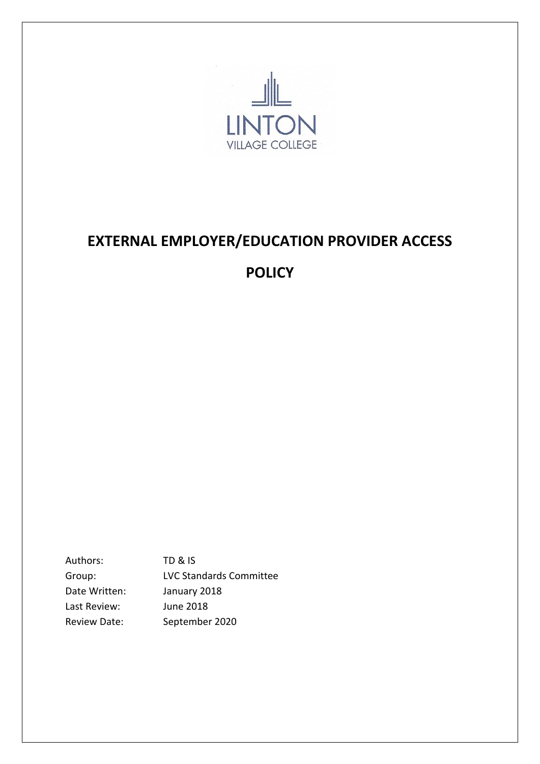

# **EXTERNAL EMPLOYER/EDUCATION PROVIDER ACCESS**

# **POLICY**

Authors: TD & IS Group: LVC Standards Committee Date Written: January 2018 Last Review: June 2018 Review Date: September 2020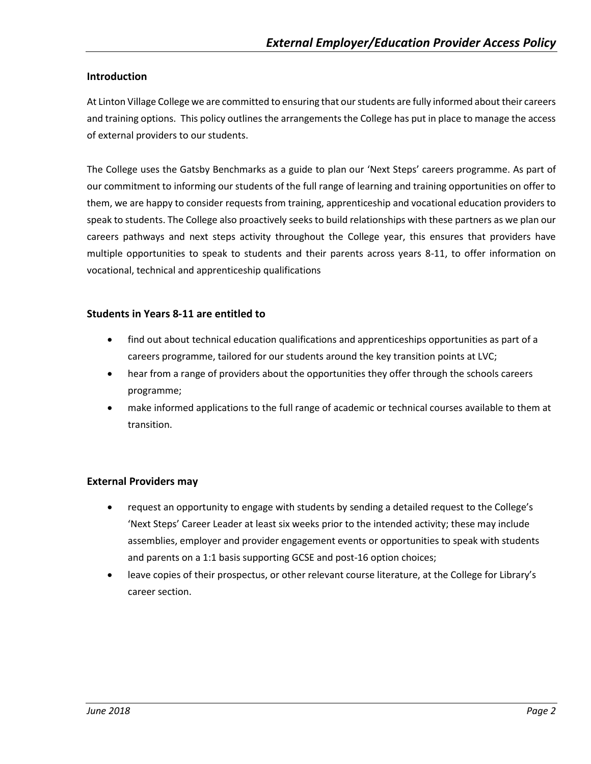#### **Introduction**

At Linton Village College we are committed to ensuring that our students are fully informed about their careers and training options. This policy outlines the arrangements the College has put in place to manage the access of external providers to our students.

The College uses the Gatsby Benchmarks as a guide to plan our 'Next Steps' careers programme. As part of our commitment to informing our students of the full range of learning and training opportunities on offer to them, we are happy to consider requests from training, apprenticeship and vocational education providers to speak to students. The College also proactively seeks to build relationships with these partners as we plan our careers pathways and next steps activity throughout the College year, this ensures that providers have multiple opportunities to speak to students and their parents across years 8-11, to offer information on vocational, technical and apprenticeship qualifications

#### **Students in Years 8-11 are entitled to**

- find out about technical education qualifications and apprenticeships opportunities as part of a careers programme, tailored for our students around the key transition points at LVC;
- hear from a range of providers about the opportunities they offer through the schools careers programme;
- make informed applications to the full range of academic or technical courses available to them at transition.

## **External Providers may**

- request an opportunity to engage with students by sending a detailed request to the College's 'Next Steps' Career Leader at least six weeks prior to the intended activity; these may include assemblies, employer and provider engagement events or opportunities to speak with students and parents on a 1:1 basis supporting GCSE and post-16 option choices;
- leave copies of their prospectus, or other relevant course literature, at the College for Library's career section.